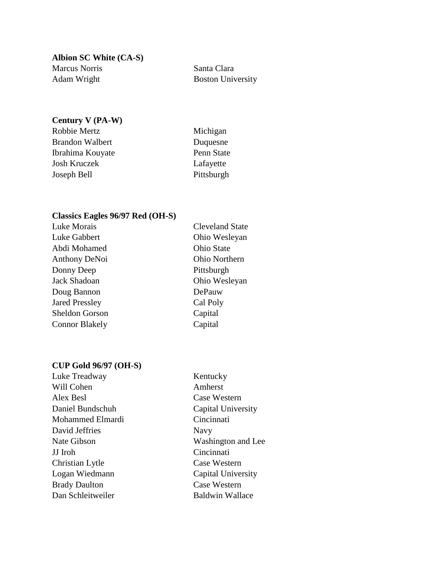**Albion SC White (CA-S)** Marcus Norris Santa Clara Adam Wright Boston University

## **Century V (PA-W)**

| Robbie Mertz     | Michigan   |
|------------------|------------|
| Brandon Walbert  | Duquesne   |
| Ibrahima Kouyate | Penn State |
| Josh Kruczek     | Lafayette  |
| Joseph Bell      | Pittsburgh |
|                  |            |

## **Classics Eagles 96/97 Red (OH-S)**

| Luke Morais           | <b>Cleveland State</b> |
|-----------------------|------------------------|
| Luke Gabbert          | Ohio Wesleyan          |
| Abdi Mohamed          | <b>Ohio State</b>      |
| <b>Anthony DeNoi</b>  | Ohio Northern          |
| Donny Deep            | Pittsburgh             |
| Jack Shadoan          | Ohio Wesleyan          |
| Doug Bannon           | DePauw                 |
| <b>Jared Pressley</b> | Cal Poly               |
| <b>Sheldon Gorson</b> | Capital                |
| <b>Connor Blakely</b> | Capital                |
|                       |                        |

### **CUP Gold 96/97 (OH-S)**

| Luke Treadway        |  |
|----------------------|--|
| Will Cohen           |  |
| Alex Besl            |  |
| Daniel Bundschuh     |  |
| Mohammed Elmardi     |  |
| David Jeffries       |  |
| Nate Gibson          |  |
| JJ Iroh              |  |
| Christian Lytle      |  |
| Logan Wiedmann       |  |
| <b>Brady Daulton</b> |  |
| Dan Schleitweiler    |  |

Kentucky Amherst Case Western Capital University Cincinnati Navy Washington and Lee Cincinnati Case Western Capital University Case Western Baldwin Wallace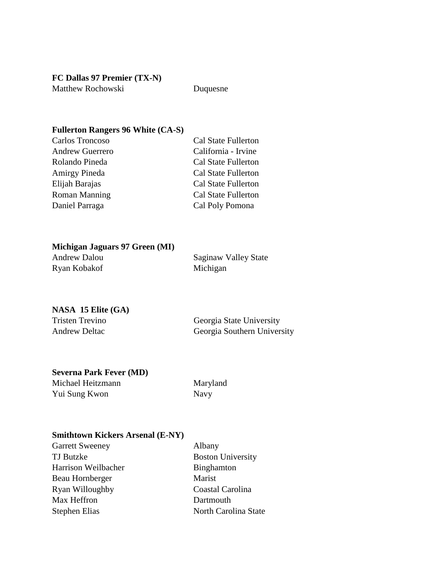**FC Dallas 97 Premier (TX-N)** Matthew Rochowski Duquesne

### **Fullerton Rangers 96 White (CA-S)**

| Carlos Troncoso        | Cal State Fullerton        |
|------------------------|----------------------------|
| <b>Andrew Guerrero</b> | California - Irvine        |
| Rolando Pineda         | <b>Cal State Fullerton</b> |
| <b>Amirgy Pineda</b>   | <b>Cal State Fullerton</b> |
| Elijah Barajas         | <b>Cal State Fullerton</b> |
| <b>Roman Manning</b>   | <b>Cal State Fullerton</b> |
| Daniel Parraga         | Cal Poly Pomona            |

# **Michigan Jaguars 97 Green (MI)**

| Andrew Dalou | Saginaw  |
|--------------|----------|
| Ryan Kobakof | Michigan |

Saginaw Valley State

## **NASA 15 Elite (GA)**

| <b>Tristen Trevino</b> |  |
|------------------------|--|
| <b>Andrew Deltac</b>   |  |

Georgia State University Georgia Southern University

### **Severna Park Fever (MD)**

| Michael Heitzmann | Maryland |
|-------------------|----------|
| Yui Sung Kwon     | Navy     |

### **Smithtown Kickers Arsenal (E-NY)**

| Garrett Sweeney     | Albany                   |
|---------------------|--------------------------|
| TJ Butzke           | <b>Boston University</b> |
| Harrison Weilbacher | Binghamton               |
| Beau Hornberger     | Marist                   |
| Ryan Willoughby     | Coastal Carolina         |
| Max Heffron         | Dartmouth                |
| Stephen Elias       | North Carolina State     |
|                     |                          |